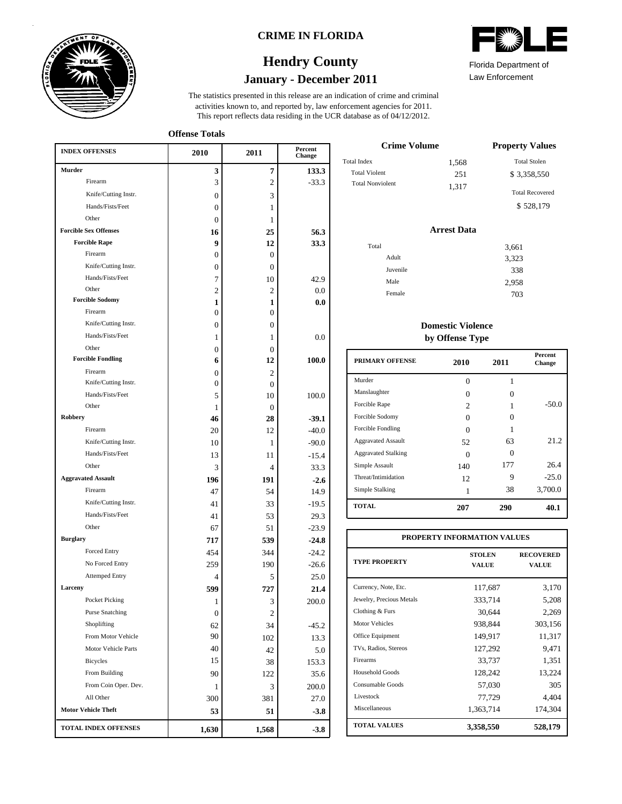

### **CRIME IN FLORIDA**

# **January - December 2011 Hendry County**

This report reflects data residing in the UCR database as of 04/12/2012. activities known to, and reported by, law enforcement agencies for 2011. The statistics presented in this release are an indication of crime and criminal

**Offense Totals**

| <b>INDEX OFFENSES</b>        | 2010           | 2011             | Percent<br>Change |
|------------------------------|----------------|------------------|-------------------|
| Murder                       | 3              | 7                | 133.3             |
| Firearm                      | 3              | 2                | $-33.3$           |
| Knife/Cutting Instr.         | 0              | 3                |                   |
| Hands/Fists/Feet             | 0              | 1                |                   |
| Other                        | $\overline{0}$ | 1                |                   |
| <b>Forcible Sex Offenses</b> | 16             | 25               | 56.3              |
| <b>Forcible Rape</b>         | 9              | 12               | 33.3              |
| Firearm                      | $\mathbf{0}$   | $\boldsymbol{0}$ |                   |
| Knife/Cutting Instr.         | 0              | $\boldsymbol{0}$ |                   |
| Hands/Fists/Feet             | 7              | 10               | 42.9              |
| Other                        | $\overline{2}$ | $\overline{c}$   | 0.0               |
| <b>Forcible Sodomy</b>       | 1              | 1                | 0.0               |
| Firearm                      | $\mathbf{0}$   | $\overline{0}$   |                   |
| Knife/Cutting Instr.         | $\mathbf{0}$   | $\overline{0}$   |                   |
| Hands/Fists/Feet             | 1              | 1                | 0.0               |
| Other                        | 0              | $\overline{0}$   |                   |
| <b>Forcible Fondling</b>     | 6              | 12               | 100.0             |
| Firearm                      | 0              | $\overline{c}$   |                   |
| Knife/Cutting Instr.         | 0              | $\theta$         |                   |
| Hands/Fists/Feet             | 5              | 10               | 100.0             |
| Other                        | 1              | $\mathbf{0}$     |                   |
| <b>Robbery</b>               | 46             | 28               | $-39.1$           |
| Firearm                      | 20             | 12               | $-40.0$           |
| Knife/Cutting Instr.         | 10             | 1                | $-90.0$           |
| Hands/Fists/Feet             | 13             | 11               | $-15.4$           |
| Other                        | 3              | 4                | 33.3              |
| <b>Aggravated Assault</b>    | 196            | 191              | $-2.6$            |
| Firearm                      | 47             | 54               | 14.9              |
| Knife/Cutting Instr.         | 41             | 33               | $-19.5$           |
| Hands/Fists/Feet             | 41             | 53               | 29.3              |
| Other                        | 67             | 51               | $-23.9$           |
| <b>Burglary</b>              | 717            | 539              | $-24.8$           |
| Forced Entry                 | 454            | 344              | $-24.2$           |
| No Forced Entry              | 259            | 190              | $-26.6$           |
| <b>Attemped Entry</b>        | 4              | 5                | 25.0              |
| Larceny                      | 599            | 727              | 21.4              |
| Pocket Picking               | 1              | 3                | $200.0\,$         |
| <b>Purse Snatching</b>       | 0              | $\mathbf{2}$     |                   |
| Shoplifting                  | 62             | 34               | $-45.2$           |
| From Motor Vehicle           | 90             | 102              | 13.3              |
| Motor Vehicle Parts          | 40             | 42               | 5.0               |
| Bicycles                     | 15             | 38               | 153.3             |
| From Building                | 90             | 122              | 35.6              |
| From Coin Oper. Dev.         | 1              | 3                | 200.0             |
| All Other                    | 300            | 381              | 27.0              |
| <b>Motor Vehicle Theft</b>   | 53             | 51               | $-3.8$            |
| <b>TOTAL INDEX OFFENSES</b>  | 1,630          | 1,568            | $-3.8$            |

|     | A <sup>NIT</sup> A<br>≋<br><b>CONNECT</b> |  |
|-----|-------------------------------------------|--|
| . . |                                           |  |

Law Enforcement Florida Department of

| <b>Crime Volume</b>     | <b>Property Values</b> |                        |
|-------------------------|------------------------|------------------------|
| <b>Total Index</b>      | 1,568                  | <b>Total Stolen</b>    |
| <b>Total Violent</b>    | 251                    | \$ 3.358.550           |
| <b>Total Nonviolent</b> | 1,317                  | <b>Total Recovered</b> |
|                         |                        | \$528,179              |

### **Arrest Data**

| Total |          | 3,661 |
|-------|----------|-------|
|       | Adult    | 3,323 |
|       | Juvenile | 338   |
|       | Male     | 2,958 |
|       | Female   | 703   |
|       |          |       |

### **Domestic Violence by Offense Type**

| <b>PRIMARY OFFENSE</b>     | 2010              | 2011 | <b>Percent</b><br>Change |
|----------------------------|-------------------|------|--------------------------|
| Murder                     | 0                 | 1    |                          |
| Manslaughter               | 0                 | 0    |                          |
| Forcible Rape              | 2                 |      | $-50.0$                  |
| Forcible Sodomy            | $\mathbf{\Omega}$ | 0    |                          |
| Forcible Fondling          | 0                 |      |                          |
| <b>Aggravated Assault</b>  | 52                | 63   | 21.2                     |
| <b>Aggravated Stalking</b> | $\mathbf{\Omega}$ | 0    |                          |
| Simple Assault             | 140               | 177  | 26.4                     |
| Threat/Intimidation        | 12.               | 9    | $-25.0$                  |
| Simple Stalking            |                   | 38   | 3,700.0                  |
| <b>TOTAL</b>               | 207               | 290  | 40.1                     |

| PROPERTY INFORMATION VALUES |                               |                           |  |  |  |  |
|-----------------------------|-------------------------------|---------------------------|--|--|--|--|
| <b>TYPE PROPERTY</b>        | <b>STOLEN</b><br><b>VALUE</b> | <b>RECOVERED</b><br>VALUE |  |  |  |  |
| Currency, Note, Etc.        | 117,687                       | 3,170                     |  |  |  |  |
| Jewelry, Precious Metals    | 333,714                       | 5,208                     |  |  |  |  |
| Clothing & Furs             | 30.644                        | 2,269                     |  |  |  |  |
| <b>Motor Vehicles</b>       | 938,844                       | 303,156                   |  |  |  |  |
| Office Equipment            | 149,917                       | 11,317                    |  |  |  |  |
| TVs, Radios, Stereos        | 127,292                       | 9.471                     |  |  |  |  |
| Firearms                    | 33,737                        | 1,351                     |  |  |  |  |
| Household Goods             | 128,242                       | 13,224                    |  |  |  |  |
| Consumable Goods            | 57,030                        | 305                       |  |  |  |  |
| Livestock                   | 77,729                        | 4.404                     |  |  |  |  |
| Miscellaneous               | 1,363,714                     | 174,304                   |  |  |  |  |
| <b>TOTAL VALUES</b>         | 3,358,550                     | 528,179                   |  |  |  |  |